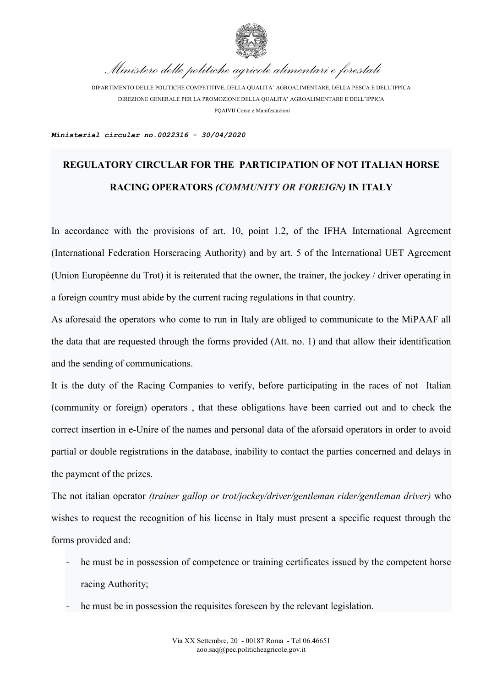

*Ministero delle politiche agricole alimentari e forestali*

DIPARTIMENTO DELLE POLITICHE COMPETITIVE, DELLA QUALITA' AGROALIMENTARE, DELLA PESCA E DELL'IPPICA DIREZIONE GENERALE PER LA PROMOZIONE DELLA QUALITA' AGROALIMENTARE E DELL'IPPICA PQAIVII Corse e Manifestazioni

*Ministerial circular no.0022316 - 30/04/2020*

## **REGULATORY CIRCULAR FOR THE PARTICIPATION OF NOT ITALIAN HORSE RACING OPERATORS** *(COMMUNITY OR FOREIGN)* **IN ITALY**

In accordance with the provisions of art. 10, point 1.2, of the IFHA International Agreement (International Federation Horseracing Authority) and by art. 5 of the International UET Agreement (Union Européenne du Trot) it is reiterated that the owner, the trainer, the jockey / driver operating in a foreign country must abide by the current racing regulations in that country.

As aforesaid the operators who come to run in Italy are obliged to communicate to the MiPAAF all the data that are requested through the forms provided (Att. no. 1) and that allow their identification and the sending of communications.

It is the duty of the Racing Companies to verify, before participating in the races of not Italian (community or foreign) operators , that these obligations have been carried out and to check the correct insertion in e-Unire of the names and personal data of the aforsaid operators in order to avoid partial or double registrations in the database, inability to contact the parties concerned and delays in the payment of the prizes.

The not italian operator *(trainer gallop or trot/jockey/driver/gentleman rider/gentleman driver)* who wishes to request the recognition of his license in Italy must present a specific request through the forms provided and:

- he must be in possession of competence or training certificates issued by the competent horse racing Authority;
- he must be in possession the requisites foreseen by the relevant legislation.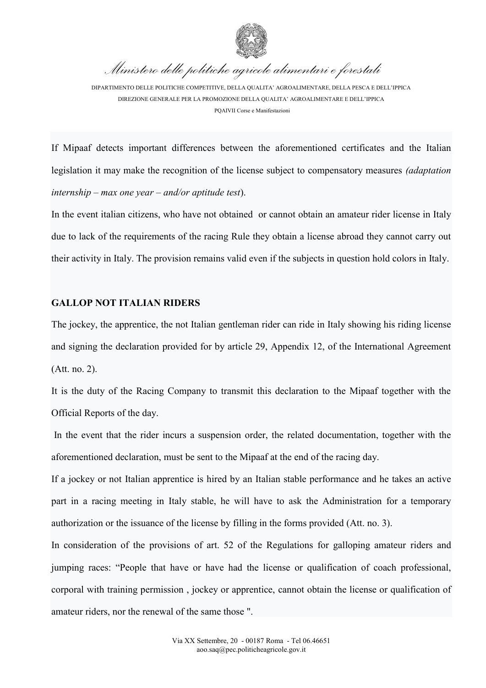

*Ministero delle politiche agricole alimentari e forestali*

DIPARTIMENTO DELLE POLITICHE COMPETITIVE, DELLA QUALITA' AGROALIMENTARE, DELLA PESCA E DELL'IPPICA DIREZIONE GENERALE PER LA PROMOZIONE DELLA QUALITA' AGROALIMENTARE E DELL'IPPICA PQAIVII Corse e Manifestazioni

If Mipaaf detects important differences between the aforementioned certificates and the Italian legislation it may make the recognition of the license subject to compensatory measures *(adaptation internship – max one year – and/or aptitude test*).

In the event italian citizens, who have not obtained or cannot obtain an amateur rider license in Italy due to lack of the requirements of the racing Rule they obtain a license abroad they cannot carry out their activity in Italy. The provision remains valid even if the subjects in question hold colors in Italy.

## **GALLOP NOT ITALIAN RIDERS**

The jockey, the apprentice, the not Italian gentleman rider can ride in Italy showing his riding license and signing the declaration provided for by article 29, Appendix 12, of the International Agreement (Att. no. 2).

It is the duty of the Racing Company to transmit this declaration to the Mipaaf together with the Official Reports of the day.

In the event that the rider incurs a suspension order, the related documentation, together with the aforementioned declaration, must be sent to the Mipaaf at the end of the racing day.

If a jockey or not Italian apprentice is hired by an Italian stable performance and he takes an active part in a racing meeting in Italy stable, he will have to ask the Administration for a temporary authorization or the issuance of the license by filling in the forms provided (Att. no. 3).

In consideration of the provisions of art. 52 of the Regulations for galloping amateur riders and jumping races: "People that have or have had the license or qualification of coach professional, corporal with training permission , jockey or apprentice, cannot obtain the license or qualification of amateur riders, nor the renewal of the same those ".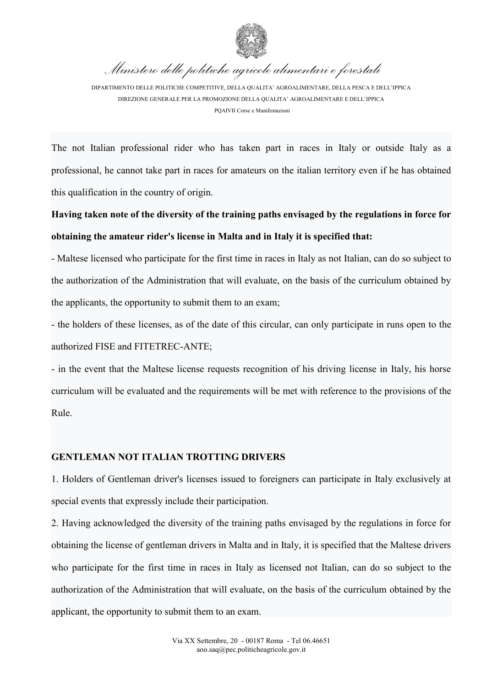

*Ministero delle politiche agricole alimentari e forestali*

DIPARTIMENTO DELLE POLITICHE COMPETITIVE, DELLA QUALITA' AGROALIMENTARE, DELLA PESCA E DELL'IPPICA DIREZIONE GENERALE PER LA PROMOZIONE DELLA QUALITA' AGROALIMENTARE E DELL'IPPICA PQAIVII Corse e Manifestazioni

The not Italian professional rider who has taken part in races in Italy or outside Italy as a professional, he cannot take part in races for amateurs on the italian territory even if he has obtained this qualification in the country of origin.

**Having taken note of the diversity of the training paths envisaged by the regulations in force for obtaining the amateur rider's license in Malta and in Italy it is specified that:**

- Maltese licensed who participate for the first time in races in Italy as not Italian, can do so subject to the authorization of the Administration that will evaluate, on the basis of the curriculum obtained by the applicants, the opportunity to submit them to an exam;

- the holders of these licenses, as of the date of this circular, can only participate in runs open to the authorized FISE and FITETREC-ANTE;

- in the event that the Maltese license requests recognition of his driving license in Italy, his horse curriculum will be evaluated and the requirements will be met with reference to the provisions of the Rule.

## **GENTLEMAN NOT ITALIAN TROTTING DRIVERS**

1. Holders of Gentleman driver's licenses issued to foreigners can participate in Italy exclusively at special events that expressly include their participation.

2. Having acknowledged the diversity of the training paths envisaged by the regulations in force for obtaining the license of gentleman drivers in Malta and in Italy, it is specified that the Maltese drivers who participate for the first time in races in Italy as licensed not Italian, can do so subject to the authorization of the Administration that will evaluate, on the basis of the curriculum obtained by the applicant, the opportunity to submit them to an exam.